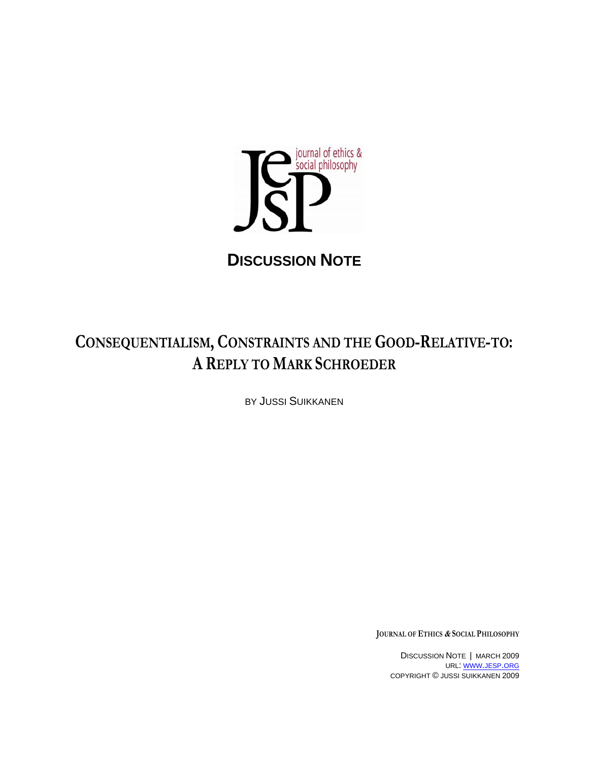

## **DISCUSSION NOTE**

# **CONSEQUENTIALISM, CONSTRAINTS AND THE GOOD-RELATIVE-TO: A REPLY TO MARK SCHROEDER**

BY JUSSI SUIKKANEN

**JOURNAL OF ETHICS & SOCIAL PHILOSOPHY**

DISCUSSION NOTE | MARCH 2009 URL: WWW.JESP.ORG COPYRIGHT © JUSSI SUIKKANEN 2009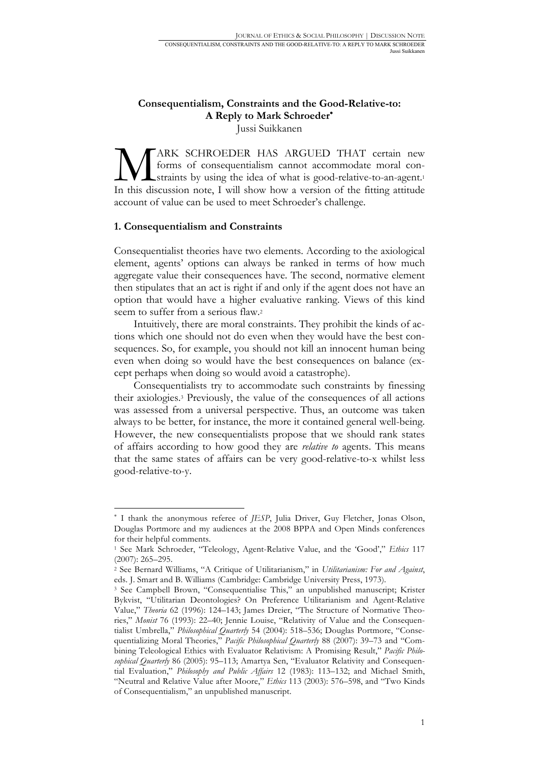### **Consequentialism, Constraints and the Good-Relative-to: A Reply to Mark Schroeder**<sup>∗</sup>

Jussi Suikkanen

ARK SCHROEDER HAS ARGUED THAT certain new forms of consequentialism cannot accommodate moral constraints by using the idea of what is good-relative-to-an-agent.1 MARK SCHROEDER HAS ARGUED THAT certain new forms of consequentialism cannot accommodate moral constraints by using the idea of what is good-relative-to-an-agent.<sup>1</sup> In this discussion note, I will show how a version of the account of value can be used to meet Schroeder's challenge.

#### **1. Consequentialism and Constraints**

1

Consequentialist theories have two elements. According to the axiological element, agents' options can always be ranked in terms of how much aggregate value their consequences have. The second, normative element then stipulates that an act is right if and only if the agent does not have an option that would have a higher evaluative ranking. Views of this kind seem to suffer from a serious flaw.2

Intuitively, there are moral constraints. They prohibit the kinds of actions which one should not do even when they would have the best consequences. So, for example, you should not kill an innocent human being even when doing so would have the best consequences on balance (except perhaps when doing so would avoid a catastrophe).

Consequentialists try to accommodate such constraints by finessing their axiologies.3 Previously, the value of the consequences of all actions was assessed from a universal perspective. Thus, an outcome was taken always to be better, for instance, the more it contained general well-being. However, the new consequentialists propose that we should rank states of affairs according to how good they are *relative to* agents. This means that the same states of affairs can be very good-relative-to-x whilst less good-relative-to-y.

<sup>∗</sup> I thank the anonymous referee of *JESP*, Julia Driver, Guy Fletcher, Jonas Olson, Douglas Portmore and my audiences at the 2008 BPPA and Open Minds conferences for their helpful comments.

<sup>1</sup> See Mark Schroeder, "Teleology, Agent-Relative Value, and the 'Good'," *Ethics* 117

<sup>(2007): 265–295. 2</sup> See Bernard Williams, "A Critique of Utilitarianism," in *Utilitarianism: For and Against*, eds. J. Smart and B. Williams (Cambridge: Cambridge University Press, 1973).

<sup>3</sup> See Campbell Brown, "Consequentialise This," an unpublished manuscript; Krister Bykvist, "Utilitarian Deontologies? On Preference Utilitarianism and Agent-Relative Value," *Theoria* 62 (1996): 124–143; James Dreier, "The Structure of Normative Theories," *Monist* 76 (1993): 22–40; Jennie Louise, "Relativity of Value and the Consequentialist Umbrella," *Philosophical Quarterly* 54 (2004): 518–536; Douglas Portmore, "Consequentializing Moral Theories," *Pacific Philosophical Quarterly* 88 (2007): 39–73 and "Combining Teleological Ethics with Evaluator Relativism: A Promising Result," *Pacific Philosophical Quarterly* 86 (2005): 95–113; Amartya Sen, "Evaluator Relativity and Consequential Evaluation," *Philosophy and Public Affairs* 12 (1983): 113–132; and Michael Smith, "Neutral and Relative Value after Moore," *Ethics* 113 (2003): 576–598, and "Two Kinds of Consequentialism," an unpublished manuscript.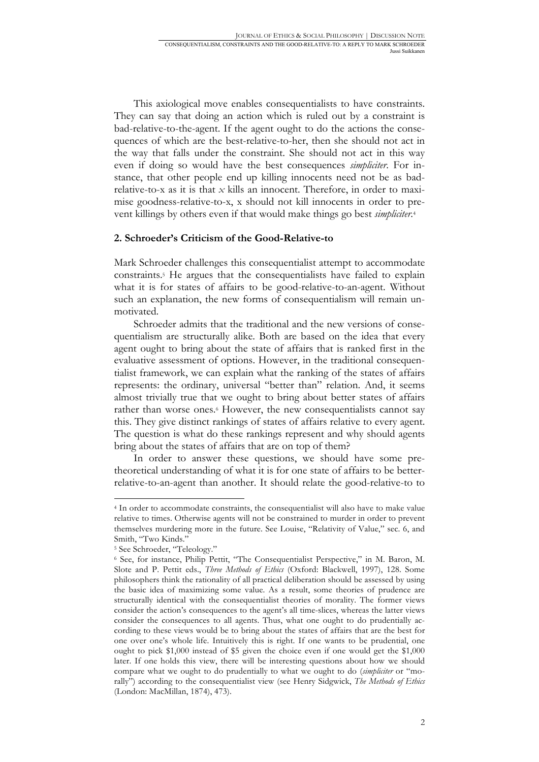This axiological move enables consequentialists to have constraints. They can say that doing an action which is ruled out by a constraint is bad-relative-to-the-agent. If the agent ought to do the actions the consequences of which are the best-relative-to-her, then she should not act in the way that falls under the constraint. She should not act in this way even if doing so would have the best consequences *simpliciter*. For instance, that other people end up killing innocents need not be as badrelative-to-x as it is that *x* kills an innocent. Therefore, in order to maximise goodness-relative-to-x, x should not kill innocents in order to prevent killings by others even if that would make things go best *simpliciter*.4

#### **2. Schroeder's Criticism of the Good-Relative-to**

Mark Schroeder challenges this consequentialist attempt to accommodate constraints.5 He argues that the consequentialists have failed to explain what it is for states of affairs to be good-relative-to-an-agent. Without such an explanation, the new forms of consequentialism will remain unmotivated.

Schroeder admits that the traditional and the new versions of consequentialism are structurally alike. Both are based on the idea that every agent ought to bring about the state of affairs that is ranked first in the evaluative assessment of options. However, in the traditional consequentialist framework, we can explain what the ranking of the states of affairs represents: the ordinary, universal "better than" relation. And, it seems almost trivially true that we ought to bring about better states of affairs rather than worse ones.<sup>6</sup> However, the new consequentialists cannot say this. They give distinct rankings of states of affairs relative to every agent. The question is what do these rankings represent and why should agents bring about the states of affairs that are on top of them?

In order to answer these questions, we should have some pretheoretical understanding of what it is for one state of affairs to be betterrelative-to-an-agent than another. It should relate the good-relative-to to

<sup>4</sup> In order to accommodate constraints, the consequentialist will also have to make value relative to times. Otherwise agents will not be constrained to murder in order to prevent themselves murdering more in the future. See Louise, "Relativity of Value," sec. 6, and Smith, "Two Kinds."

<sup>5</sup> See Schroeder, "Teleology."

<sup>6</sup> See, for instance, Philip Pettit, "The Consequentialist Perspective," in M. Baron, M. Slote and P. Pettit eds., *Three Methods of Ethics* (Oxford: Blackwell, 1997), 128. Some philosophers think the rationality of all practical deliberation should be assessed by using the basic idea of maximizing some value. As a result, some theories of prudence are structurally identical with the consequentialist theories of morality. The former views consider the action's consequences to the agent's all time-slices, whereas the latter views consider the consequences to all agents. Thus, what one ought to do prudentially according to these views would be to bring about the states of affairs that are the best for one over one's whole life. Intuitively this is right. If one wants to be prudential, one ought to pick \$1,000 instead of \$5 given the choice even if one would get the \$1,000 later. If one holds this view, there will be interesting questions about how we should compare what we ought to do prudentially to what we ought to do (*simpliciter* or "morally") according to the consequentialist view (see Henry Sidgwick, *The Methods of Ethics*  (London: MacMillan, 1874), 473).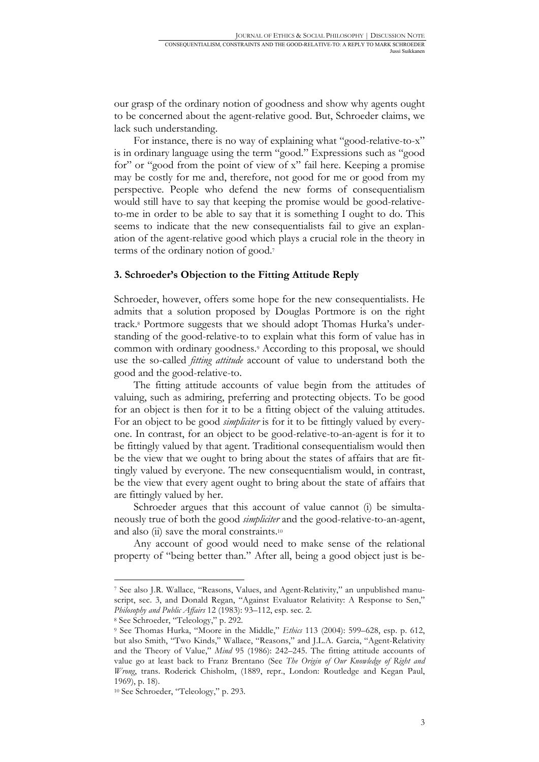our grasp of the ordinary notion of goodness and show why agents ought to be concerned about the agent-relative good. But, Schroeder claims, we lack such understanding.

For instance, there is no way of explaining what "good-relative-to-x" is in ordinary language using the term "good." Expressions such as "good for" or "good from the point of view of x" fail here. Keeping a promise may be costly for me and, therefore, not good for me or good from my perspective. People who defend the new forms of consequentialism would still have to say that keeping the promise would be good-relativeto-me in order to be able to say that it is something I ought to do. This seems to indicate that the new consequentialists fail to give an explanation of the agent-relative good which plays a crucial role in the theory in terms of the ordinary notion of good.7

#### **3. Schroeder's Objection to the Fitting Attitude Reply**

Schroeder, however, offers some hope for the new consequentialists. He admits that a solution proposed by Douglas Portmore is on the right track.8 Portmore suggests that we should adopt Thomas Hurka's understanding of the good-relative-to to explain what this form of value has in common with ordinary goodness.9 According to this proposal, we should use the so-called *fitting attitude* account of value to understand both the good and the good-relative-to.

The fitting attitude accounts of value begin from the attitudes of valuing, such as admiring, preferring and protecting objects. To be good for an object is then for it to be a fitting object of the valuing attitudes. For an object to be good *simpliciter* is for it to be fittingly valued by everyone. In contrast, for an object to be good-relative-to-an-agent is for it to be fittingly valued by that agent. Traditional consequentialism would then be the view that we ought to bring about the states of affairs that are fittingly valued by everyone. The new consequentialism would, in contrast, be the view that every agent ought to bring about the state of affairs that are fittingly valued by her.

Schroeder argues that this account of value cannot (i) be simultaneously true of both the good *simpliciter* and the good-relative-to-an-agent, and also (ii) save the moral constraints.<sup>10</sup>

Any account of good would need to make sense of the relational property of "being better than." After all, being a good object just is be-

<sup>7</sup> See also J.R. Wallace, "Reasons, Values, and Agent-Relativity," an unpublished manuscript, sec. 3, and Donald Regan, "Against Evaluator Relativity: A Response to Sen," *Philosophy and Public Affairs* 12 (1983): 93–112, esp. sec. 2.

<sup>8</sup> See Schroeder, "Teleology," p. 292.

<sup>9</sup> See Thomas Hurka, "Moore in the Middle," *Ethics* 113 (2004): 599–628, esp. p. 612, but also Smith, "Two Kinds," Wallace, "Reasons," and J.L.A. Garcia, "Agent-Relativity and the Theory of Value," *Mind* 95 (1986): 242–245. The fitting attitude accounts of value go at least back to Franz Brentano (See *The Origin of Our Knowledge of Right and Wrong*, trans. Roderick Chisholm, (1889, repr., London: Routledge and Kegan Paul, 1969), p. 18).

<sup>10</sup> See Schroeder, "Teleology," p. 293.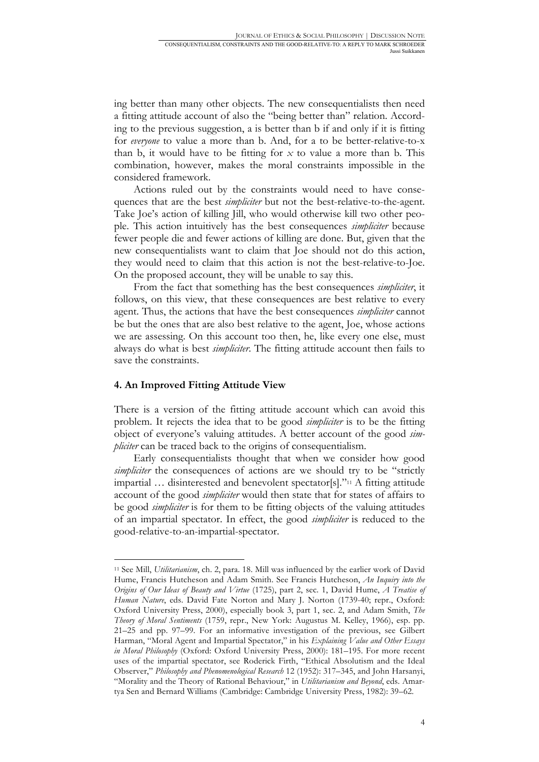ing better than many other objects. The new consequentialists then need a fitting attitude account of also the "being better than" relation. According to the previous suggestion, a is better than b if and only if it is fitting for *everyone* to value a more than b. And, for a to be better-relative-to-x than b, it would have to be fitting for *x* to value a more than b. This combination, however, makes the moral constraints impossible in the considered framework.

Actions ruled out by the constraints would need to have consequences that are the best *simpliciter* but not the best-relative-to-the-agent. Take Joe's action of killing Jill, who would otherwise kill two other people. This action intuitively has the best consequences *simpliciter* because fewer people die and fewer actions of killing are done. But, given that the new consequentialists want to claim that Joe should not do this action, they would need to claim that this action is not the best-relative-to-Joe. On the proposed account, they will be unable to say this.

From the fact that something has the best consequences *simpliciter*, it follows, on this view, that these consequences are best relative to every agent. Thus, the actions that have the best consequences *simpliciter* cannot be but the ones that are also best relative to the agent, Joe, whose actions we are assessing. On this account too then, he, like every one else, must always do what is best *simpliciter*. The fitting attitude account then fails to save the constraints.

#### **4. An Improved Fitting Attitude View**

1

There is a version of the fitting attitude account which can avoid this problem. It rejects the idea that to be good *simpliciter* is to be the fitting object of everyone's valuing attitudes. A better account of the good *simpliciter* can be traced back to the origins of consequentialism.

Early consequentialists thought that when we consider how good *simpliciter* the consequences of actions are we should try to be "strictly impartial … disinterested and benevolent spectator[s]."11 A fitting attitude account of the good *simpliciter* would then state that for states of affairs to be good *simpliciter* is for them to be fitting objects of the valuing attitudes of an impartial spectator. In effect, the good *simpliciter* is reduced to the good-relative-to-an-impartial-spectator.

<sup>11</sup> See Mill, *Utilitarianism*, ch. 2, para. 18. Mill was influenced by the earlier work of David Hume, Francis Hutcheson and Adam Smith. See Francis Hutcheson, *An Inquiry into the Origins of Our Ideas of Beauty and Virtue* (1725), part 2, sec. 1, David Hume, *A Treatise of Human Nature*, eds. David Fate Norton and Mary J. Norton (1739-40; repr., Oxford: Oxford University Press, 2000), especially book 3, part 1, sec. 2, and Adam Smith, *The Theory of Moral Sentiments* (1759, repr., New York: Augustus M. Kelley, 1966), esp. pp. 21–25 and pp. 97–99. For an informative investigation of the previous, see Gilbert Harman, "Moral Agent and Impartial Spectator," in his *Explaining Value and Other Essays in Moral Philosophy* (Oxford: Oxford University Press, 2000): 181–195. For more recent uses of the impartial spectator, see Roderick Firth, "Ethical Absolutism and the Ideal Observer," *Philosophy and Phenomenological Research* 12 (1952): 317–345, and John Harsanyi, "Morality and the Theory of Rational Behaviour," in *Utilitarianism and Beyond*, eds. Amartya Sen and Bernard Williams (Cambridge: Cambridge University Press, 1982): 39–62.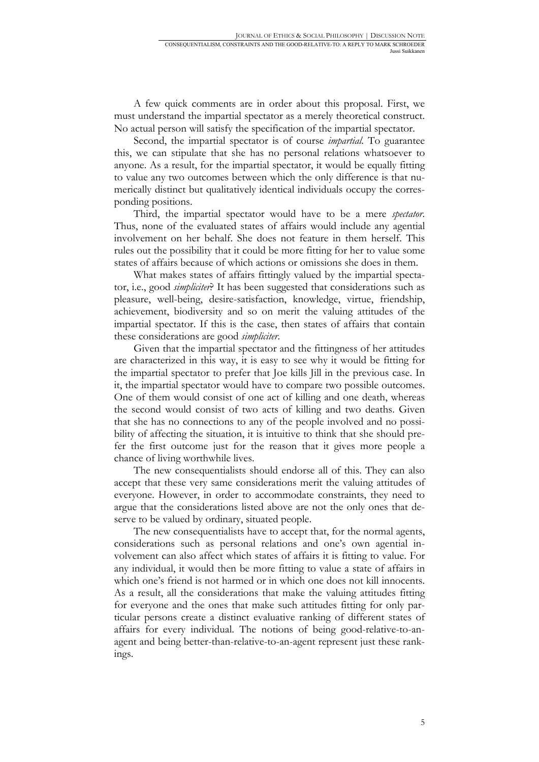A few quick comments are in order about this proposal. First, we must understand the impartial spectator as a merely theoretical construct. No actual person will satisfy the specification of the impartial spectator.

Second, the impartial spectator is of course *impartial*. To guarantee this, we can stipulate that she has no personal relations whatsoever to anyone. As a result, for the impartial spectator, it would be equally fitting to value any two outcomes between which the only difference is that numerically distinct but qualitatively identical individuals occupy the corresponding positions.

Third, the impartial spectator would have to be a mere *spectator*. Thus, none of the evaluated states of affairs would include any agential involvement on her behalf. She does not feature in them herself. This rules out the possibility that it could be more fitting for her to value some states of affairs because of which actions or omissions she does in them.

What makes states of affairs fittingly valued by the impartial spectator, i.e., good *simpliciter*? It has been suggested that considerations such as pleasure, well-being, desire-satisfaction, knowledge, virtue, friendship, achievement, biodiversity and so on merit the valuing attitudes of the impartial spectator. If this is the case, then states of affairs that contain these considerations are good *simpliciter*.

Given that the impartial spectator and the fittingness of her attitudes are characterized in this way, it is easy to see why it would be fitting for the impartial spectator to prefer that Joe kills Jill in the previous case. In it, the impartial spectator would have to compare two possible outcomes. One of them would consist of one act of killing and one death, whereas the second would consist of two acts of killing and two deaths. Given that she has no connections to any of the people involved and no possibility of affecting the situation, it is intuitive to think that she should prefer the first outcome just for the reason that it gives more people a chance of living worthwhile lives.

The new consequentialists should endorse all of this. They can also accept that these very same considerations merit the valuing attitudes of everyone. However, in order to accommodate constraints, they need to argue that the considerations listed above are not the only ones that deserve to be valued by ordinary, situated people.

The new consequentialists have to accept that, for the normal agents, considerations such as personal relations and one's own agential involvement can also affect which states of affairs it is fitting to value. For any individual, it would then be more fitting to value a state of affairs in which one's friend is not harmed or in which one does not kill innocents. As a result, all the considerations that make the valuing attitudes fitting for everyone and the ones that make such attitudes fitting for only particular persons create a distinct evaluative ranking of different states of affairs for every individual. The notions of being good-relative-to-anagent and being better-than-relative-to-an-agent represent just these rankings.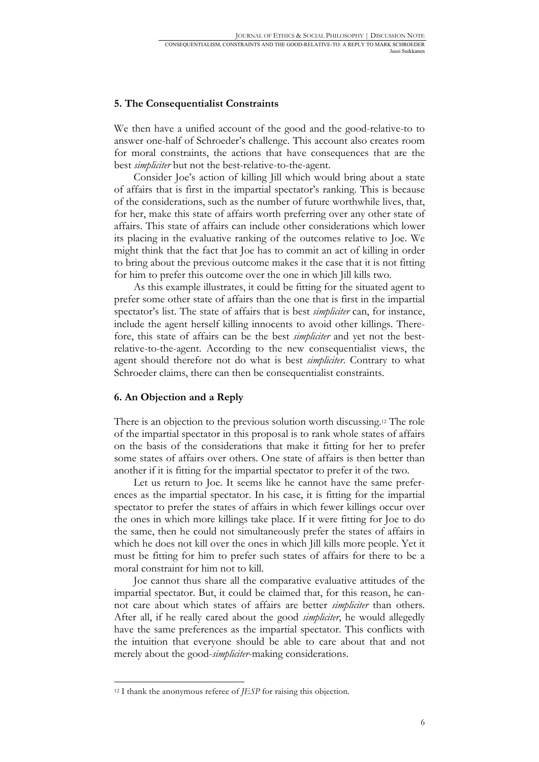#### **5. The Consequentialist Constraints**

We then have a unified account of the good and the good-relative-to to answer one-half of Schroeder's challenge. This account also creates room for moral constraints, the actions that have consequences that are the best *simpliciter* but not the best-relative-to-the-agent.

Consider Joe's action of killing Jill which would bring about a state of affairs that is first in the impartial spectator's ranking. This is because of the considerations, such as the number of future worthwhile lives, that, for her, make this state of affairs worth preferring over any other state of affairs. This state of affairs can include other considerations which lower its placing in the evaluative ranking of the outcomes relative to Joe. We might think that the fact that Joe has to commit an act of killing in order to bring about the previous outcome makes it the case that it is not fitting for him to prefer this outcome over the one in which Jill kills two.

As this example illustrates, it could be fitting for the situated agent to prefer some other state of affairs than the one that is first in the impartial spectator's list. The state of affairs that is best *simpliciter* can, for instance, include the agent herself killing innocents to avoid other killings. Therefore, this state of affairs can be the best *simpliciter* and yet not the bestrelative-to-the-agent. According to the new consequentialist views, the agent should therefore not do what is best *simpliciter*. Contrary to what Schroeder claims, there can then be consequentialist constraints.

#### **6. An Objection and a Reply**

There is an objection to the previous solution worth discussing.12 The role of the impartial spectator in this proposal is to rank whole states of affairs on the basis of the considerations that make it fitting for her to prefer some states of affairs over others. One state of affairs is then better than another if it is fitting for the impartial spectator to prefer it of the two.

Let us return to Joe. It seems like he cannot have the same preferences as the impartial spectator. In his case, it is fitting for the impartial spectator to prefer the states of affairs in which fewer killings occur over the ones in which more killings take place. If it were fitting for Joe to do the same, then he could not simultaneously prefer the states of affairs in which he does not kill over the ones in which Jill kills more people. Yet it must be fitting for him to prefer such states of affairs for there to be a moral constraint for him not to kill.

Joe cannot thus share all the comparative evaluative attitudes of the impartial spectator. But, it could be claimed that, for this reason, he cannot care about which states of affairs are better *simpliciter* than others. After all, if he really cared about the good *simpliciter*, he would allegedly have the same preferences as the impartial spectator. This conflicts with the intuition that everyone should be able to care about that and not merely about the good-*simpliciter*-making considerations.

<sup>12</sup> I thank the anonymous referee of *JESP* for raising this objection.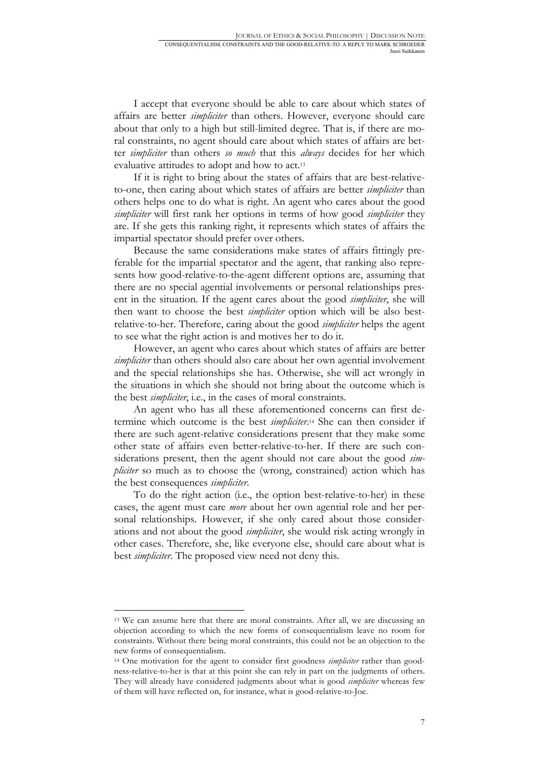I accept that everyone should be able to care about which states of affairs are better *simpliciter* than others. However, everyone should care about that only to a high but still-limited degree. That is, if there are moral constraints, no agent should care about which states of affairs are better *simpliciter* than others *so much* that this *always* decides for her which evaluative attitudes to adopt and how to act.13

If it is right to bring about the states of affairs that are best-relativeto-one, then caring about which states of affairs are better *simpliciter* than others helps one to do what is right. An agent who cares about the good *simpliciter* will first rank her options in terms of how good *simpliciter* they are. If she gets this ranking right, it represents which states of affairs the impartial spectator should prefer over others.

Because the same considerations make states of affairs fittingly preferable for the impartial spectator and the agent, that ranking also represents how good-relative-to-the-agent different options are, assuming that there are no special agential involvements or personal relationships present in the situation. If the agent cares about the good *simpliciter*, she will then want to choose the best *simpliciter* option which will be also bestrelative-to-her. Therefore, caring about the good *simpliciter* helps the agent to see what the right action is and motives her to do it.

However, an agent who cares about which states of affairs are better *simpliciter* than others should also care about her own agential involvement and the special relationships she has. Otherwise, she will act wrongly in the situations in which she should not bring about the outcome which is the best *simpliciter*, i.e., in the cases of moral constraints.

An agent who has all these aforementioned concerns can first determine which outcome is the best *simpliciter*.14 She can then consider if there are such agent-relative considerations present that they make some other state of affairs even better-relative-to-her. If there are such considerations present, then the agent should not care about the good *simpliciter* so much as to choose the (wrong, constrained) action which has the best consequences *simpliciter*.

To do the right action (i.e., the option best-relative-to-her) in these cases, the agent must care *more* about her own agential role and her personal relationships. However, if she only cared about those considerations and not about the good *simpliciter*, she would risk acting wrongly in other cases. Therefore, she, like everyone else, should care about what is best *simpliciter*. The proposed view need not deny this.

1

<sup>&</sup>lt;sup>13</sup> We can assume here that there are moral constraints. After all, we are discussing an objection according to which the new forms of consequentialism leave no room for constraints. Without there being moral constraints, this could not be an objection to the new forms of consequentialism.

<sup>14</sup> One motivation for the agent to consider first goodness *simpliciter* rather than goodness-relative-to-her is that at this point she can rely in part on the judgments of others. They will already have considered judgments about what is good *simpliciter* whereas few of them will have reflected on, for instance, what is good-relative-to-Joe.